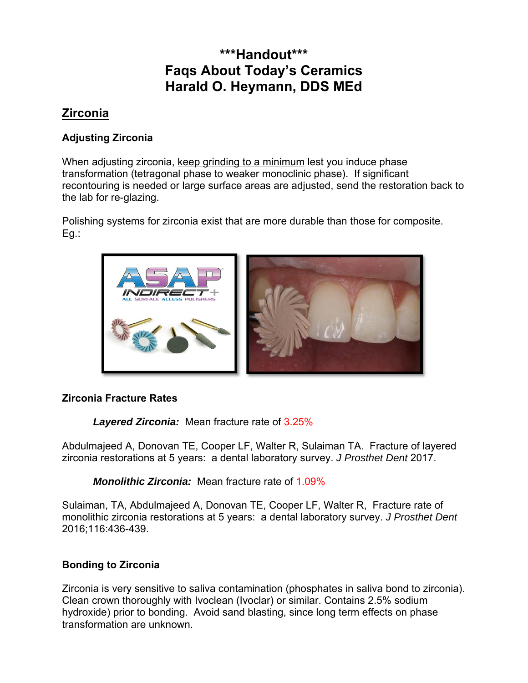# **\*\*\*Handout\*\*\* Faqs About Today's Ceramics Harald O. Heymann, DDS MEd**

# **Zirconia**

# **Adjusting Zirconia**

When adjusting zirconia, keep grinding to a minimum lest you induce phase transformation (tetragonal phase to weaker monoclinic phase). If significant recontouring is needed or large surface areas are adjusted, send the restoration back to the lab for re-glazing.

Polishing systems for zirconia exist that are more durable than those for composite. Eg.:



# **Zirconia Fracture Rates**

*Layered Zirconia:* Mean fracture rate of 3.25%

Abdulmajeed A, Donovan TE, Cooper LF, Walter R, Sulaiman TA. Fracture of layered zirconia restorations at 5 years: a dental laboratory survey. *J Prosthet Dent* 2017.

*Monolithic Zirconia:* Mean fracture rate of 1.09%

Sulaiman, TA, Abdulmajeed A, Donovan TE, Cooper LF, Walter R, Fracture rate of monolithic zirconia restorations at 5 years: a dental laboratory survey. *J Prosthet Dent* 2016;116:436-439.

# **Bonding to Zirconia**

Zirconia is very sensitive to saliva contamination (phosphates in saliva bond to zirconia). Clean crown thoroughly with Ivoclean (Ivoclar) or similar. Contains 2.5% sodium hydroxide) prior to bonding. Avoid sand blasting, since long term effects on phase transformation are unknown.